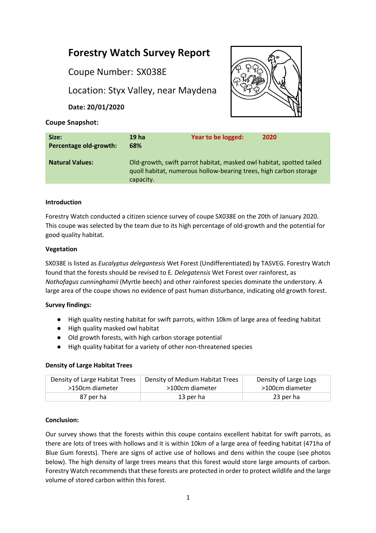# **Forestry Watch Survey Report**

Coupe Number: SX038E

Location: Styx Valley, near Maydena

**Date: 20/01/2020**



# **Coupe Snapshot:**

| Size:<br>Percentage old-growth: | 19 ha<br>68%                                                                                                                                           | Year to be logged: | 2020 |
|---------------------------------|--------------------------------------------------------------------------------------------------------------------------------------------------------|--------------------|------|
| <b>Natural Values:</b>          | Old-growth, swift parrot habitat, masked owl habitat, spotted tailed<br>quoll habitat, numerous hollow-bearing trees, high carbon storage<br>capacity. |                    |      |

# **Introduction**

Forestry Watch conducted a citizen science survey of coupe SX038E on the 20th of January 2020. This coupe was selected by the team due to its high percentage of old-growth and the potential for good quality habitat.

# **Vegetation**

SX038E is listed as *Eucalyptus delegantesis* Wet Forest (Undifferentiated) by TASVEG. Forestry Watch found that the forests should be revised to E*. Delegatensis* Wet Forest over rainforest, as *Nothofagus cunninghamii* (Myrtle beech) and other rainforest species dominate the understory. A large area of the coupe shows no evidence of past human disturbance, indicating old growth forest.

# **Survey findings:**

- High quality nesting habitat for swift parrots, within 10km of large area of feeding habitat
- High quality masked owl habitat
- Old growth forests, with high carbon storage potential
- High quality habitat for a variety of other non-threatened species

# **Density of Large Habitat Trees**

| Density of Large Habitat Trees | Density of Medium Habitat Trees | Density of Large Logs |
|--------------------------------|---------------------------------|-----------------------|
| >150cm diameter                | >100cm diameter                 | >100cm diameter       |
| 87 per ha                      | 13 per ha                       | 23 per ha             |

# **Conclusion:**

Our survey shows that the forests within this coupe contains excellent habitat for swift parrots, as there are lots of trees with hollows and it is within 10km of a large area of feeding habitat (471ha of Blue Gum forests). There are signs of active use of hollows and dens within the coupe (see photos below). The high density of large trees means that this forest would store large amounts of carbon. Forestry Watch recommends that these forests are protected in order to protect wildlife and the large volume of stored carbon within this forest.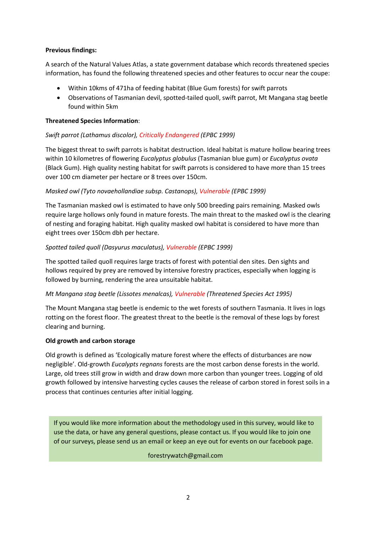# **Previous findings:**

A search of the Natural Values Atlas, a state government database which records threatened species information, has found the following threatened species and other features to occur near the coupe:

- Within 10kms of 471ha of feeding habitat (Blue Gum forests) for swift parrots
- Observations of Tasmanian devil, spotted-tailed quoll, swift parrot, Mt Mangana stag beetle found within 5km

#### **Threatened Species Information**:

### *Swift parrot (Lathamus discolor), Critically Endangered (EPBC 1999)*

The biggest threat to swift parrots is habitat destruction. Ideal habitat is mature hollow bearing trees within 10 kilometres of flowering *Eucalyptus globulus* (Tasmanian blue gum) or *Eucalyptus ovata* (Black Gum). High quality nesting habitat for swift parrots is considered to have more than 15 trees over 100 cm diameter per hectare or 8 trees over 150cm.

### *Masked owl (Tyto novaehollandiae subsp. Castanops), Vulnerable (EPBC 1999)*

The Tasmanian masked owl is estimated to have only 500 breeding pairs remaining. Masked owls require large hollows only found in mature forests. The main threat to the masked owl is the clearing of nesting and foraging habitat. High quality masked owl habitat is considered to have more than eight trees over 150cm dbh per hectare.

#### *Spotted tailed quoll (Dasyurus maculatus), Vulnerable (EPBC 1999)*

The spotted tailed quoll requires large tracts of forest with potential den sites. Den sights and hollows required by prey are removed by intensive forestry practices, especially when logging is followed by burning, rendering the area unsuitable habitat.

#### *Mt Mangana stag beetle (Lissotes menalcas), Vulnerable (Threatened Species Act 1995)*

The Mount Mangana stag beetle is endemic to the wet forests of southern Tasmania. It lives in logs rotting on the forest floor. The greatest threat to the beetle is the removal of these logs by forest clearing and burning.

#### **Old growth and carbon storage**

Old growth is defined as 'Ecologically mature forest where the effects of disturbances are now negligible'. Old-growth *Eucalypts regnans* forests are the most carbon dense forests in the world. Large, old trees still grow in width and draw down more carbon than younger trees. Logging of old growth followed by intensive harvesting cycles causes the release of carbon stored in forest soils in a process that continues centuries after initial logging.

If you would like more information about the methodology used in this survey, would like to use the data, or have any general questions, please contact us. If you would like to join one of our surveys, please send us an email or keep an eye out for events on our facebook page.

#### forestrywatch@gmail.com